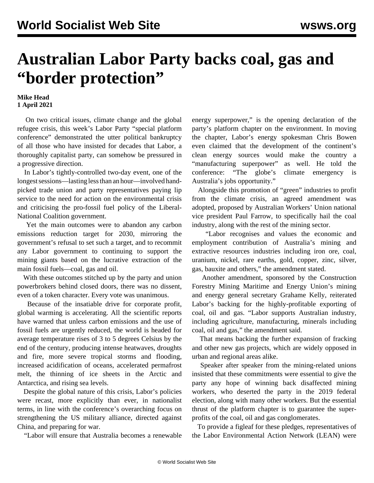## **Australian Labor Party backs coal, gas and "border protection"**

## **Mike Head 1 April 2021**

 On two critical issues, climate change and the global refugee crisis, this week's Labor Party "special platform conference" demonstrated the utter political bankruptcy of all those who have insisted for decades that Labor, a thoroughly capitalist party, can somehow be pressured in a progressive direction.

 In Labor's tightly-controlled two-day event, one of the longest sessions—lasting less than an hour—involved handpicked trade union and party representatives paying lip service to the need for action on the environmental crisis and criticising the pro-fossil fuel policy of the Liberal-National Coalition government.

 Yet the main outcomes were to abandon any carbon emissions reduction target for 2030, mirroring the government's refusal to set such a target, and to recommit any Labor government to continuing to support the mining giants based on the lucrative extraction of the main fossil fuels—coal, gas and oil.

 With these outcomes stitched up by the party and union powerbrokers behind closed doors, there was no dissent, even of a token character. Every vote was unanimous.

 Because of the insatiable drive for corporate profit, global warming is accelerating. All the scientific reports have warned that unless carbon emissions and the use of fossil fuels are urgently reduced, the world is headed for average temperature rises of 3 to 5 degrees Celsius by the end of the century, [producing](/en/articles/2020/01/20/pers-j20.html) intense heatwaves, droughts and fire, more severe tropical storms and flooding, increased acidification of oceans, accelerated permafrost melt, the thinning of ice sheets in the Arctic and Antarctica, and rising sea levels.

 Despite the global nature of this crisis, Labor's policies were recast, more explicitly than ever, in nationalist terms, in line with the conference's overarching focus on strengthening the US military alliance, directed against China, and preparing for war.

"Labor will ensure that Australia becomes a renewable

energy superpower," is the opening declaration of the party's platform chapter on the environment. In moving the chapter, Labor's energy spokesman Chris Bowen even claimed that the development of the continent's clean energy sources would make the country a "manufacturing superpower" as well. He told the conference: "The globe's climate emergency is Australia's jobs opportunity."

 Alongside this promotion of "green" industries to profit from the climate crisis, an agreed amendment was adopted, proposed by Australian Workers' Union national vice president Paul Farrow, to specifically hail the coal industry, along with the rest of the mining sector.

 "Labor recognises and values the economic and employment contribution of Australia's mining and extractive resources industries including iron ore, coal, uranium, nickel, rare earths, gold, copper, zinc, silver, gas, bauxite and others," the amendment stated.

 Another amendment, sponsored by the Construction Forestry Mining Maritime and Energy Union's mining and energy general secretary Grahame Kelly, reiterated Labor's backing for the highly-profitable exporting of coal, oil and gas. "Labor supports Australian industry, including agriculture, manufacturing, minerals including coal, oil and gas," the amendment said.

 That means backing the further expansion of fracking and other new gas projects, which are widely opposed in urban and regional areas alike.

 Speaker after speaker from the mining-related unions insisted that these commitments were essential to give the party any hope of winning back disaffected mining workers, who deserted the party in the 2019 federal election, along with many other workers. But the essential thrust of the platform chapter is to guarantee the superprofits of the coal, oil and gas conglomerates.

 To provide a figleaf for these pledges, representatives of the Labor Environmental Action Network (LEAN) were